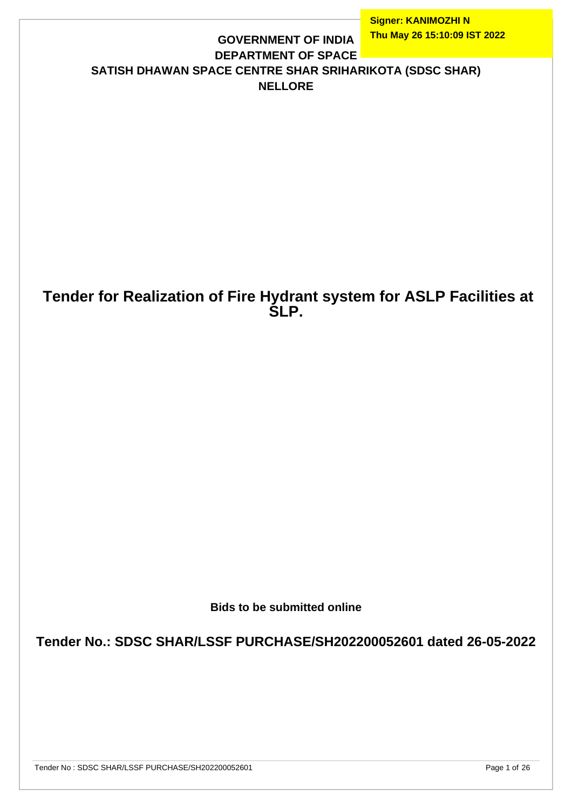#### **GOVERNMENT OF INDIA DEPARTMENT OF SPACE SATISH DHAWAN SPACE CENTRE SHAR SRIHARIKOTA (SDSC SHAR) NELLORE**

## **Tender for Realization of Fire Hydrant system for ASLP Facilities at SLP.**

**Bids to be submitted online**

**Tender No.: SDSC SHAR/LSSF PURCHASE/SH202200052601 dated 26-05-2022**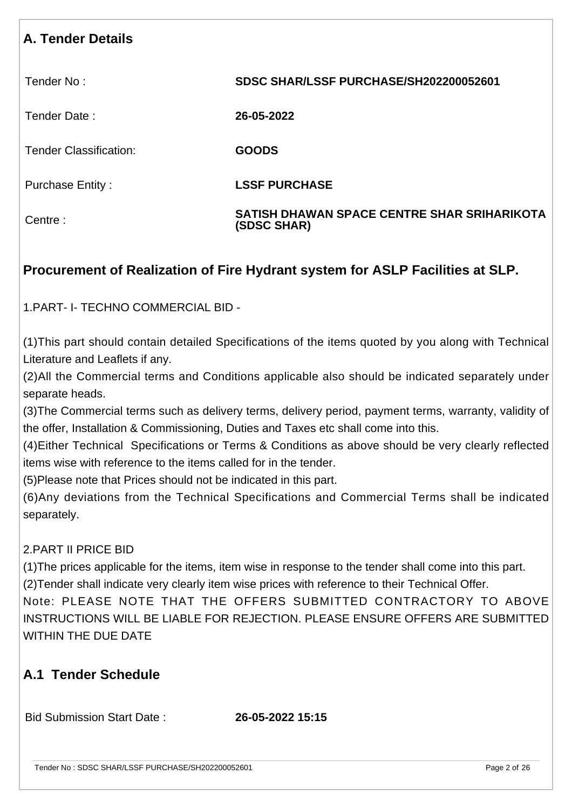#### **A. Tender Details**

Tender No : **SDSC SHAR/LSSF PURCHASE/SH202200052601**

Tender Date : **26-05-2022**

Tender Classification: **GOODS**

Purchase Entity : **LSSF PURCHASE**

Centre : **SATISH DHAWAN SPACE CENTRE SHAR SRIHARIKOTA (SDSC SHAR)**

## **Procurement of Realization of Fire Hydrant system for ASLP Facilities at SLP.**

1.PART- I- TECHNO COMMERCIAL BID -

(1)This part should contain detailed Specifications of the items quoted by you along with Technical Literature and Leaflets if any.

(2)All the Commercial terms and Conditions applicable also should be indicated separately under separate heads.

(3)The Commercial terms such as delivery terms, delivery period, payment terms, warranty, validity of the offer, Installation & Commissioning, Duties and Taxes etc shall come into this.

(4)Either Technical Specifications or Terms & Conditions as above should be very clearly reflected items wise with reference to the items called for in the tender.

(5)Please note that Prices should not be indicated in this part.

(6)Any deviations from the Technical Specifications and Commercial Terms shall be indicated separately.

#### 2.PART II PRICE BID

(1)The prices applicable for the items, item wise in response to the tender shall come into this part. (2)Tender shall indicate very clearly item wise prices with reference to their Technical Offer.

Note: PLEASE NOTE THAT THE OFFERS SUBMITTED CONTRACTORY TO ABOVE INSTRUCTIONS WILL BE LIABLE FOR REJECTION. PLEASE ENSURE OFFERS ARE SUBMITTED WITHIN THE DUE DATE

#### **A.1 Tender Schedule**

Bid Submission Start Date : **26-05-2022 15:15**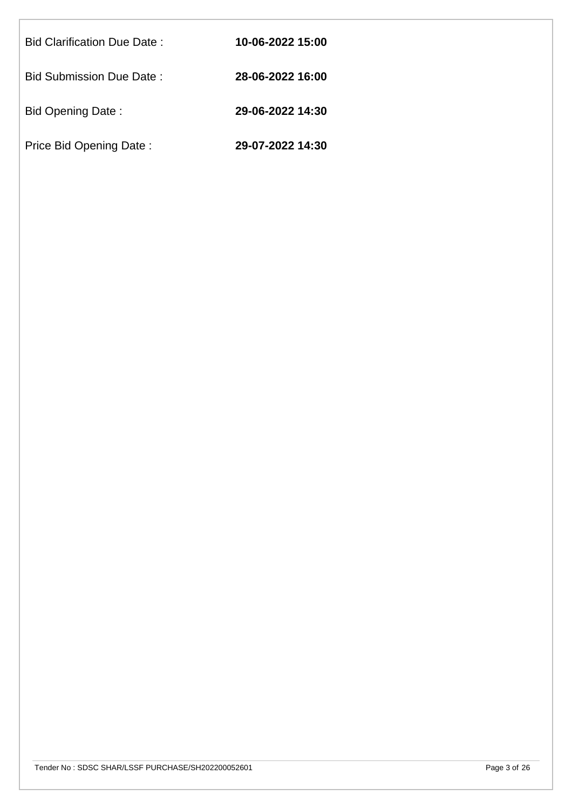| Bid Clarification Due Date: | 10-06-2022 15:00 |
|-----------------------------|------------------|
| Bid Submission Due Date :   | 28-06-2022 16:00 |
| Bid Opening Date:           | 29-06-2022 14:30 |
| Price Bid Opening Date:     | 29-07-2022 14:30 |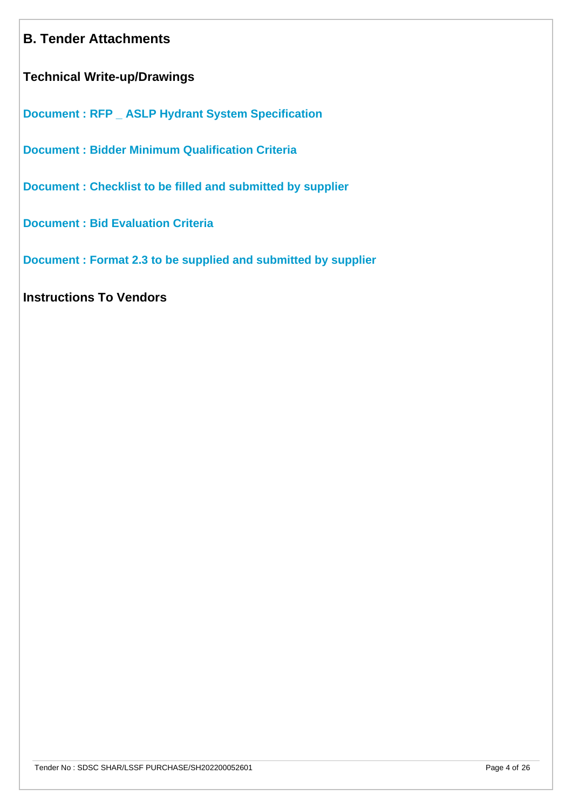#### **B. Tender Attachments**

**Technical Write-up/Drawings**

**[Document : RFP \\_ ASLP Hydrant System Specification](https://eproc.isro.gov.in/common/viewDocument?id=ff8081818093eacf0180ad94e867194e&indentId=SH2022000526)**

**[Document : Bidder Minimum Qualification Criteria](https://eproc.isro.gov.in/common/viewDocument?id=ff8081818093eacf0180ad94395e194d&indentId=SH2022000526)**

**[Document : Checklist to be filled and submitted by supplier](https://eproc.isro.gov.in/common/viewDocument?id=ff8081818050fbd3018055385e110101&indentId=SH2022000526)**

**[Document : Bid Evaluation Criteria](https://eproc.isro.gov.in/common/viewDocument?id=ff8081818050fbd3018055382a1b0100&indentId=SH2022000526)**

**[Document : Format 2.3 to be supplied and submitted by supplier](https://eproc.isro.gov.in/common/viewDocument?id=ff8081818050fbd301805537a02000fe&indentId=SH2022000526)**

**Instructions To Vendors**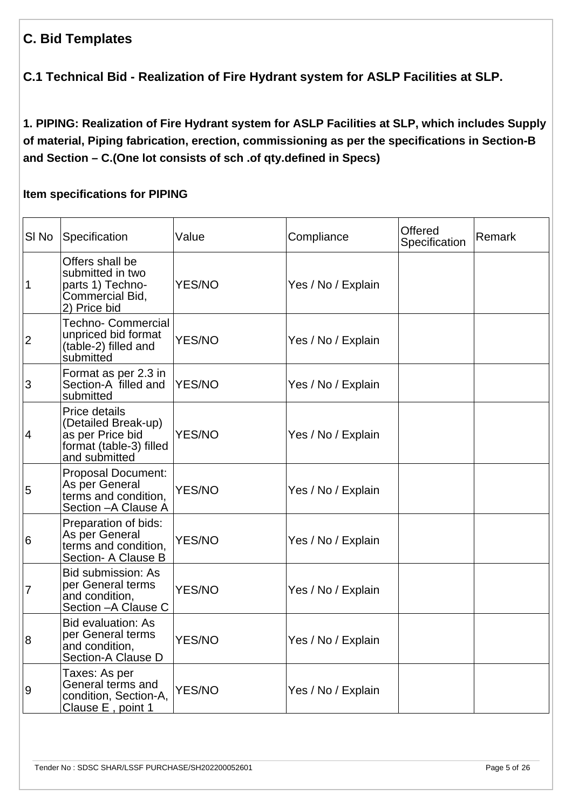#### **C. Bid Templates**

**C.1 Technical Bid - Realization of Fire Hydrant system for ASLP Facilities at SLP.**

**1. PIPING: Realization of Fire Hydrant system for ASLP Facilities at SLP, which includes Supply of material, Piping fabrication, erection, commissioning as per the specifications in Section-B and Section – C.(One lot consists of sch .of qty.defined in Specs)** 

#### **Item specifications for PIPING**

| SI No          | Specification                                                                                        | Value         | Compliance         | Offered<br>Specification | Remark |
|----------------|------------------------------------------------------------------------------------------------------|---------------|--------------------|--------------------------|--------|
| $\mathbf 1$    | Offers shall be<br>submitted in two<br>parts 1) Techno-<br>Commercial Bid,<br>2) Price bid           | <b>YES/NO</b> | Yes / No / Explain |                          |        |
| $\overline{2}$ | <b>Techno- Commercial</b><br>unpriced bid format<br>(table-2) filled and<br>submitted                | <b>YES/NO</b> | Yes / No / Explain |                          |        |
| 3              | Format as per 2.3 in<br>Section-A filled and<br>submitted                                            | <b>YES/NO</b> | Yes / No / Explain |                          |        |
| 4              | Price details<br>(Detailed Break-up)<br>as per Price bid<br>format (table-3) filled<br>and submitted | <b>YES/NO</b> | Yes / No / Explain |                          |        |
| 5              | <b>Proposal Document:</b><br>As per General<br>terms and condition,<br>Section - A Clause A          | <b>YES/NO</b> | Yes / No / Explain |                          |        |
| 6              | Preparation of bids:<br>As per General<br>terms and condition.<br>Section- A Clause B                | <b>YES/NO</b> | Yes / No / Explain |                          |        |
| $\overline{7}$ | <b>Bid submission: As</b><br>per General terms<br>and condition,<br>Section - A Clause C             | <b>YES/NO</b> | Yes / No / Explain |                          |        |
| $\overline{8}$ | <b>Bid evaluation: As</b><br>per General terms<br>and condition,<br><b>Section-A Clause D</b>        | <b>YES/NO</b> | Yes / No / Explain |                          |        |
| 9              | Taxes: As per<br>General terms and<br>condition, Section-A,<br>Clause E, point 1                     | <b>YES/NO</b> | Yes / No / Explain |                          |        |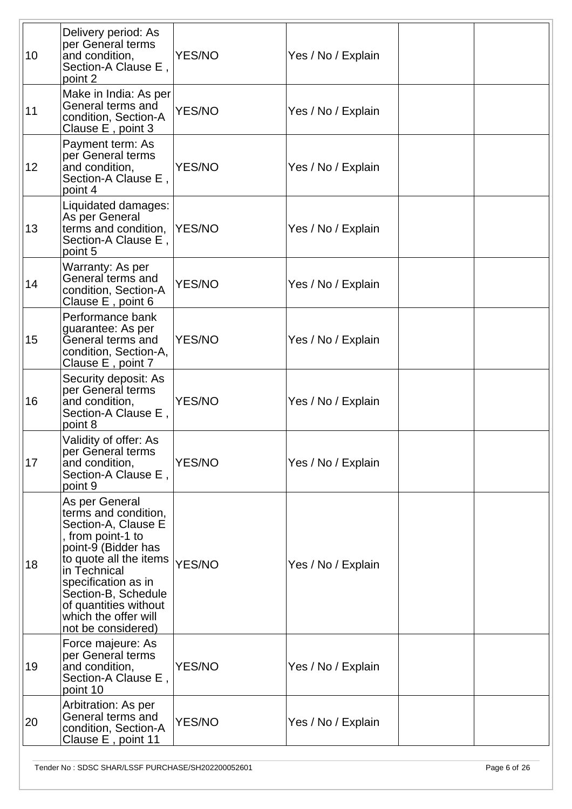| 10 | Delivery period: As<br>per General terms<br>and condition,<br>Section-A Clause E,<br>point 2                                                                                                                                                                             | <b>YES/NO</b> | Yes / No / Explain |  |
|----|--------------------------------------------------------------------------------------------------------------------------------------------------------------------------------------------------------------------------------------------------------------------------|---------------|--------------------|--|
| 11 | Make in India: As per<br>General terms and<br>condition, Section-A<br>Clause E, point 3                                                                                                                                                                                  | <b>YES/NO</b> | Yes / No / Explain |  |
| 12 | Payment term: As<br>per General terms<br>and condition,<br>Section-A Clause E,<br>point 4                                                                                                                                                                                | YES/NO        | Yes / No / Explain |  |
| 13 | Liquidated damages:<br>As per General<br>terms and condition,<br>Section-A Clause E,<br>point 5                                                                                                                                                                          | YES/NO        | Yes / No / Explain |  |
| 14 | Warranty: As per<br>General terms and<br>condition, Section-A<br>Clause E, point 6                                                                                                                                                                                       | <b>YES/NO</b> | Yes / No / Explain |  |
| 15 | Performance bank<br>guarantee: As per<br>General terms and<br>condition, Section-A,<br>Clause E, point 7                                                                                                                                                                 | <b>YES/NO</b> | Yes / No / Explain |  |
| 16 | Security deposit: As<br>per General terms<br>and condition,<br>Section-A Clause E,<br>point 8                                                                                                                                                                            | <b>YES/NO</b> | Yes / No / Explain |  |
| 17 | Validity of offer: As<br>per General terms<br>and condition,<br>Section-A Clause E,<br>point 9                                                                                                                                                                           | YES/NO        | Yes / No / Explain |  |
| 18 | As per General<br>terms and condition,<br>Section-A, Clause E<br>, from point-1 to<br>point-9 (Bidder has<br>to quote all the items<br>in Technical<br>specification as in<br>Section-B, Schedule<br>of quantities without<br>which the offer will<br>not be considered) | YES/NO        | Yes / No / Explain |  |
| 19 | Force majeure: As<br>per General terms<br>and condition,<br>Section-A Clause E,<br>point 10                                                                                                                                                                              | YES/NO        | Yes / No / Explain |  |
| 20 | Arbitration: As per<br>General terms and<br>condition, Section-A<br>Clause E, point 11                                                                                                                                                                                   | YES/NO        | Yes / No / Explain |  |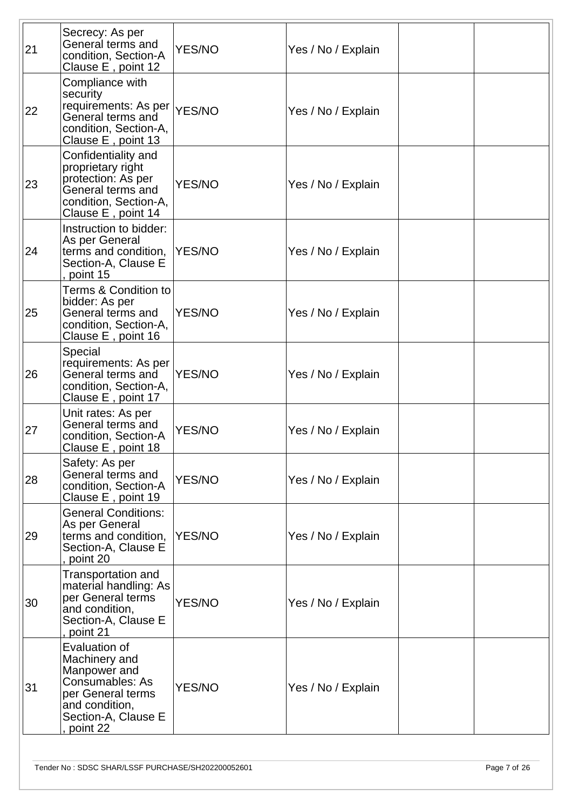| 21 | Secrecy: As per<br>General terms and<br>condition, Section-A<br>Clause E, point 12                                                          | <b>YES/NO</b> | Yes / No / Explain |  |
|----|---------------------------------------------------------------------------------------------------------------------------------------------|---------------|--------------------|--|
| 22 | Compliance with<br>security<br>requirements: As per YES/NO<br>General terms and<br>condition, Section-A,<br>Clause E, point 13              |               | Yes / No / Explain |  |
| 23 | Confidentiality and<br>proprietary right<br>protection: As per<br>General terms and<br>condition, Section-A,<br>Clause E, point 14          | <b>YES/NO</b> | Yes / No / Explain |  |
| 24 | Instruction to bidder:<br>As per General<br>terms and condition,<br>Section-A, Clause E<br>point 15                                         | <b>YES/NO</b> | Yes / No / Explain |  |
| 25 | <b>Terms &amp; Condition to</b><br>bidder: As per<br>General terms and<br>condition, Section-A,<br>Clause E, point 16                       | <b>YES/NO</b> | Yes / No / Explain |  |
| 26 | Special<br>requirements: As per<br>General terms and<br>condition, Section-A,<br>Clause E, point 17                                         | YES/NO        | Yes / No / Explain |  |
| 27 | Unit rates: As per<br>General terms and<br>condition, Section-A<br>Clause E, point 18                                                       | <b>YES/NO</b> | Yes / No / Explain |  |
| 28 | Safety: As per<br>General terms and<br>condition, Section-A<br>Clause E, point 19                                                           | <b>YES/NO</b> | Yes / No / Explain |  |
| 29 | <b>General Conditions:</b><br>As per General<br>terms and condition,<br>Section-A, Clause E<br>point 20                                     | <b>YES/NO</b> | Yes / No / Explain |  |
| 30 | <b>Transportation and</b><br>material handling: As<br>per General terms<br>and condition,<br>Section-A, Clause E<br>point 21                | YES/NO        | Yes / No / Explain |  |
| 31 | Evaluation of<br>Machinery and<br>Manpower and<br>Consumables: As<br>per General terms<br>and condition,<br>Section-A, Clause E<br>point 22 | <b>YES/NO</b> | Yes / No / Explain |  |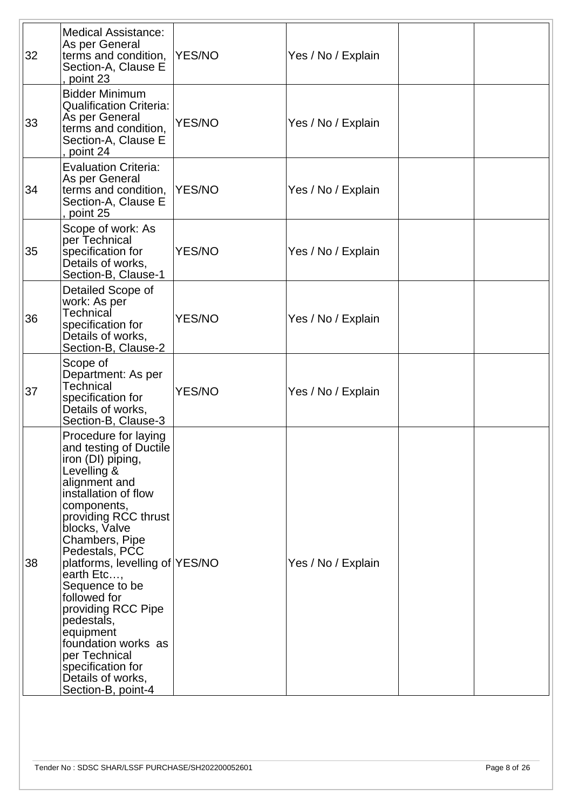| 32 | <b>Medical Assistance:</b><br>As per General<br>terms and condition,<br>Section-A, Clause E<br>point 23                                                                                                                                                                                                                                                                                                                                                            | <b>YES/NO</b> | Yes / No / Explain |  |
|----|--------------------------------------------------------------------------------------------------------------------------------------------------------------------------------------------------------------------------------------------------------------------------------------------------------------------------------------------------------------------------------------------------------------------------------------------------------------------|---------------|--------------------|--|
| 33 | <b>Bidder Minimum</b><br><b>Qualification Criteria:</b><br>As per General<br>terms and condition,<br>Section-A, Clause E<br>point 24                                                                                                                                                                                                                                                                                                                               | <b>YES/NO</b> | Yes / No / Explain |  |
| 34 | <b>Evaluation Criteria:</b><br>As per General<br>terms and condition,<br>Section-A, Clause E<br>point 25                                                                                                                                                                                                                                                                                                                                                           | <b>YES/NO</b> | Yes / No / Explain |  |
| 35 | Scope of work: As<br>per Technical<br>specification for<br>Details of works,<br>Section-B, Clause-1                                                                                                                                                                                                                                                                                                                                                                | <b>YES/NO</b> | Yes / No / Explain |  |
| 36 | Detailed Scope of<br>work: As per<br>Technical<br>specification for<br>Details of works,<br>Section-B, Clause-2                                                                                                                                                                                                                                                                                                                                                    | <b>YES/NO</b> | Yes / No / Explain |  |
| 37 | Scope of<br>Department: As per<br>Technical<br>specification for<br>Details of works,<br>Section-B, Clause-3                                                                                                                                                                                                                                                                                                                                                       | <b>YES/NO</b> | Yes / No / Explain |  |
| 38 | Procedure for laying<br>and testing of Ductile<br>iron (DI) piping,<br>Levelling &<br>alignment and<br>installation of flow<br>components,<br>providing RCC thrust<br>blocks, Valve<br>Chambers, Pipe<br>Pedestals, PCC<br>platforms, levelling of YES/NO<br>earth Etc,<br>Sequence to be<br>followed for<br>providing RCC Pipe<br>pedestals,<br>equipment<br>foundation works as<br>per Technical<br>specification for<br>Details of works,<br>Section-B, point-4 |               | Yes / No / Explain |  |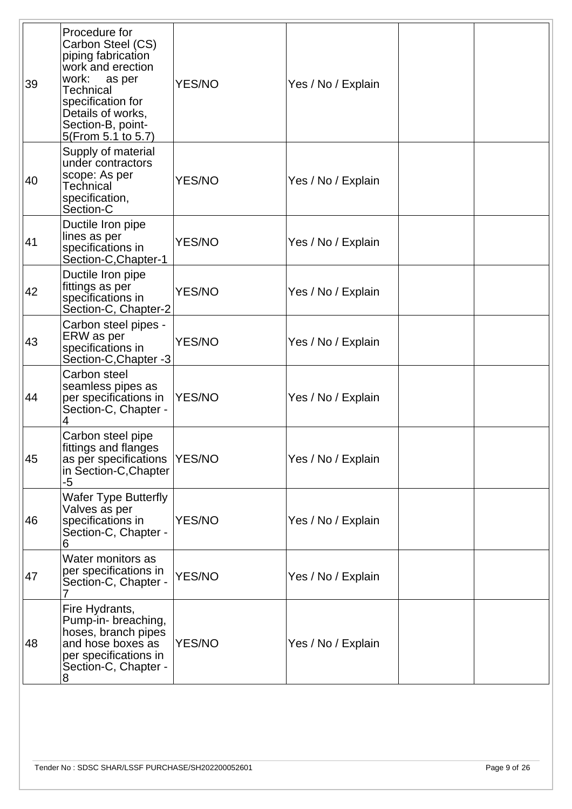| 39 | Procedure for<br>Carbon Steel (CS)<br>piping fabrication<br>work and erection<br>work:<br>as per<br>Technical<br>specification for<br>Details of works,<br>Section-B, point-<br>5(From 5.1 to 5.7) | <b>YES/NO</b> | Yes / No / Explain |  |
|----|----------------------------------------------------------------------------------------------------------------------------------------------------------------------------------------------------|---------------|--------------------|--|
| 40 | Supply of material<br>under contractors<br>scope: As per<br>Technical<br>specification,<br>Section-C                                                                                               | <b>YES/NO</b> | Yes / No / Explain |  |
| 41 | Ductile Iron pipe<br>lines as per<br>specifications in<br>Section-C, Chapter-1                                                                                                                     | <b>YES/NO</b> | Yes / No / Explain |  |
| 42 | Ductile Iron pipe<br>fittings as per<br>specifications in<br>Section-C, Chapter-2                                                                                                                  | <b>YES/NO</b> | Yes / No / Explain |  |
| 43 | Carbon steel pipes -<br>ERW as per<br>specifications in<br>Section-C, Chapter -3                                                                                                                   | <b>YES/NO</b> | Yes / No / Explain |  |
| 44 | Carbon steel<br>seamless pipes as<br>per specifications in<br>Section-C, Chapter -<br>4                                                                                                            | YES/NO        | Yes / No / Explain |  |
| 45 | Carbon steel pipe<br>fittings and flanges<br>as per specifications<br>in Section-C, Chapter<br>-5                                                                                                  | YES/NO        | Yes / No / Explain |  |
| 46 | <b>Wafer Type Butterfly</b><br>Valves as per<br>specifications in<br>Section-C, Chapter -<br>6                                                                                                     | <b>YES/NO</b> | Yes / No / Explain |  |
| 47 | Water monitors as<br>per specifications in<br>Section-C, Chapter -                                                                                                                                 | <b>YES/NO</b> | Yes / No / Explain |  |
| 48 | Fire Hydrants,<br>Pump-in- breaching,<br>hoses, branch pipes<br>and hose boxes as<br>per specifications in<br>Section-C, Chapter -<br>8                                                            | YES/NO        | Yes / No / Explain |  |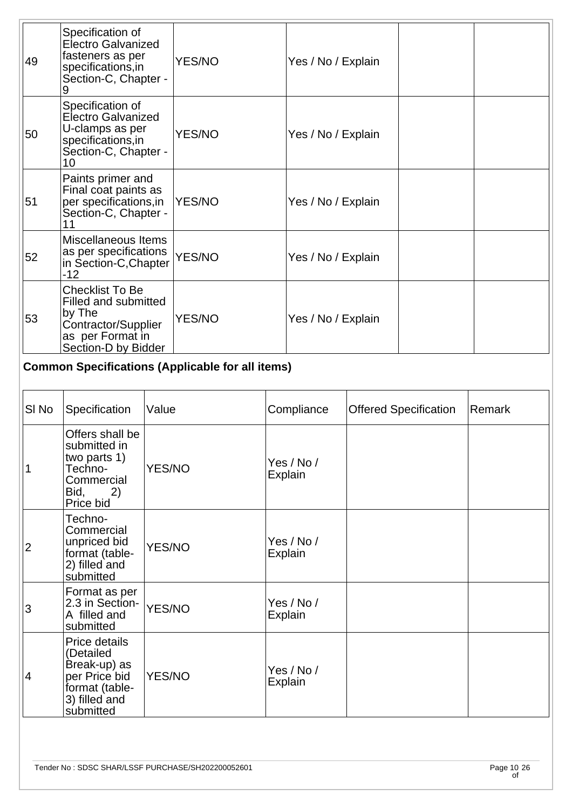| 49 | Specification of<br>Electro Galvanized<br>fasteners as per<br>specifications, in<br>Section-C, Chapter -                   | <b>YES/NO</b> | Yes / No / Explain |  |
|----|----------------------------------------------------------------------------------------------------------------------------|---------------|--------------------|--|
| 50 | Specification of<br>Electro Galvanized<br>U-clamps as per<br>specifications, in<br>Section-C, Chapter -<br>10              | <b>YES/NO</b> | Yes / No / Explain |  |
| 51 | Paints primer and<br>Final coat paints as<br>per specifications, in<br>Section-C, Chapter -                                | YES/NO        | Yes / No / Explain |  |
| 52 | Miscellaneous Items<br>as per specifications<br>in Section-C, Chapter<br>$-12$                                             | <b>YES/NO</b> | Yes / No / Explain |  |
| 53 | <b>Checklist To Be</b><br>Filled and submitted<br>by The<br>Contractor/Supplier<br>as per Format in<br>Section-D by Bidder | <b>YES/NO</b> | Yes / No / Explain |  |

## **Common Specifications (Applicable for all items)**

| SI No          | Specification                                                                                               | Value         | Compliance            | <b>Offered Specification</b> | Remark |
|----------------|-------------------------------------------------------------------------------------------------------------|---------------|-----------------------|------------------------------|--------|
|                | Offers shall be<br>submitted in<br>two parts 1)<br>Techno-<br>Commercial<br>Bid, 2)<br>Price bid            | <b>YES/NO</b> | Yes / No /<br>Explain |                              |        |
| $\overline{2}$ | Techno-<br>Commercial<br>unpriced bid<br>format (table-<br>2) filled and<br>submitted                       | YES/NO        | Yes / No /<br>Explain |                              |        |
| 3              | Format as per<br>2.3 in Section-<br>A filled and<br>submitted                                               | YES/NO        | Yes / No /<br>Explain |                              |        |
| 4              | Price details<br>(Detailed<br>Break-up) as<br>per Price bid<br>format (table-<br>3) filled and<br>submitted | YES/NO        | Yes / No /<br>Explain |                              |        |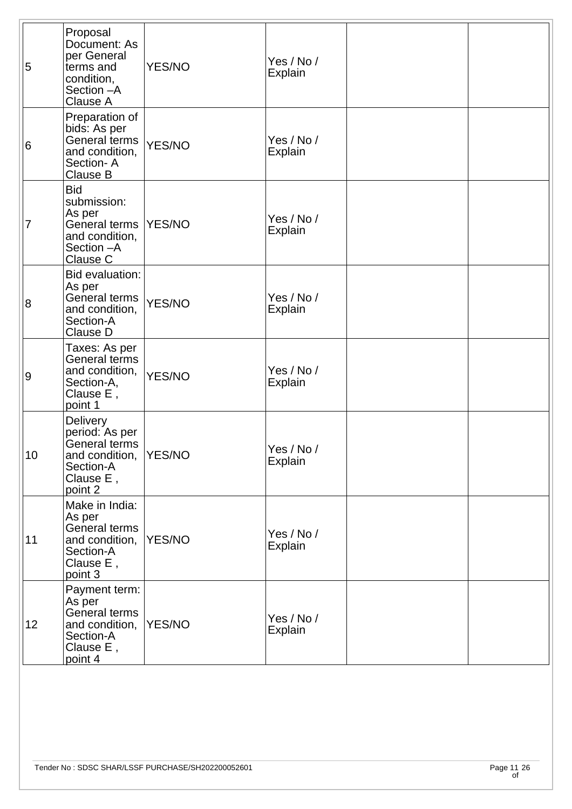| 5              | Proposal<br>Document: As<br>per General<br>terms and<br>condition,<br>Section - A<br>Clause A             | YES/NO        | Yes / No /<br>Explain |  |
|----------------|-----------------------------------------------------------------------------------------------------------|---------------|-----------------------|--|
| 6              | Preparation of<br>bids: As per<br>General terms<br>and condition,<br>Section-A<br><b>Clause B</b>         | YES/NO        | Yes / No /<br>Explain |  |
| 7              | <b>Bid</b><br>submission:<br>As per<br>General terms<br>and condition,<br>Section - A<br>Clause C         | YES/NO        | Yes / No /<br>Explain |  |
| $\overline{8}$ | Bid evaluation:<br>As per<br>General terms<br>and condition,<br>Section-A<br>Clause D                     | YES/NO        | Yes / No /<br>Explain |  |
| 9              | Taxes: As per<br>General terms<br>and condition,<br>Section-A,<br>Clause E,<br>point 1                    | YES/NO        | Yes / No /<br>Explain |  |
| 10             | <b>Delivery</b><br>period: As per<br>General terms<br>and condition,<br>Section-A<br>Clause E,<br>point 2 | <b>YES/NO</b> | Yes / No /<br>Explain |  |
| 11             | Make in India:<br>As per<br>General terms<br>and condition,<br>Section-A<br>Clause E,<br>point 3          | YES/NO        | Yes / No /<br>Explain |  |
| 12             | Payment term:<br>As per<br>General terms<br>and condition,<br>Section-A<br>Clause E,<br>point 4           | YES/NO        | Yes / No /<br>Explain |  |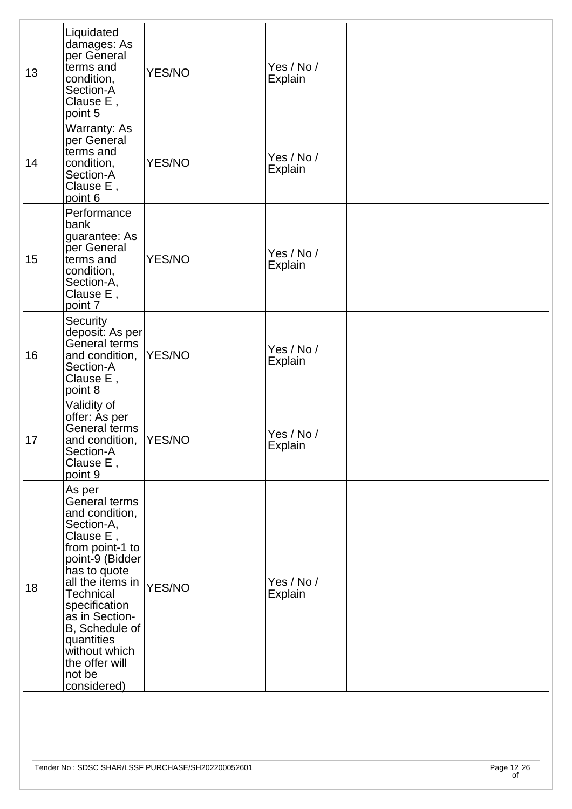| 13 | Liquidated<br>damages: As<br>per General<br>terms and<br>condition,<br>Section-A<br>Clause E,<br>point 5                                                                                                                                                                                          | <b>YES/NO</b> | Yes / No /<br><b>Explain</b> |  |
|----|---------------------------------------------------------------------------------------------------------------------------------------------------------------------------------------------------------------------------------------------------------------------------------------------------|---------------|------------------------------|--|
| 14 | Warranty: As<br>per General<br>terms and<br>condition,<br>Section-A<br>Clause E,<br>point 6                                                                                                                                                                                                       | <b>YES/NO</b> | Yes / No /<br>Explain        |  |
| 15 | Performance<br>bank<br>guarantee: As<br>per General<br>terms and<br>condition,<br>Section-A,<br>Clause E,<br>point 7                                                                                                                                                                              | <b>YES/NO</b> | Yes / No /<br>Explain        |  |
| 16 | Security<br>deposit: As per<br>General terms<br>and condition,<br>Section-A<br>Clause E,<br>point 8                                                                                                                                                                                               | YES/NO        | Yes / No /<br>Explain        |  |
| 17 | Validity of<br>offer: As per<br>General terms<br>and condition,<br>Section-A<br>Clause E,<br>point 9                                                                                                                                                                                              | YES/NO        | Yes / No /<br><b>Explain</b> |  |
| 18 | As per<br>General terms<br>and condition,<br>Section-A,<br>Clause E,<br>from point-1 to<br>point-9 (Bidder<br>has to quote<br>all the items in<br><b>Technical</b><br>specification<br>as in Section-<br>B, Schedule of<br>quantities<br>without which<br>the offer will<br>not be<br>considered) | YES/NO        | Yes / No /<br>Explain        |  |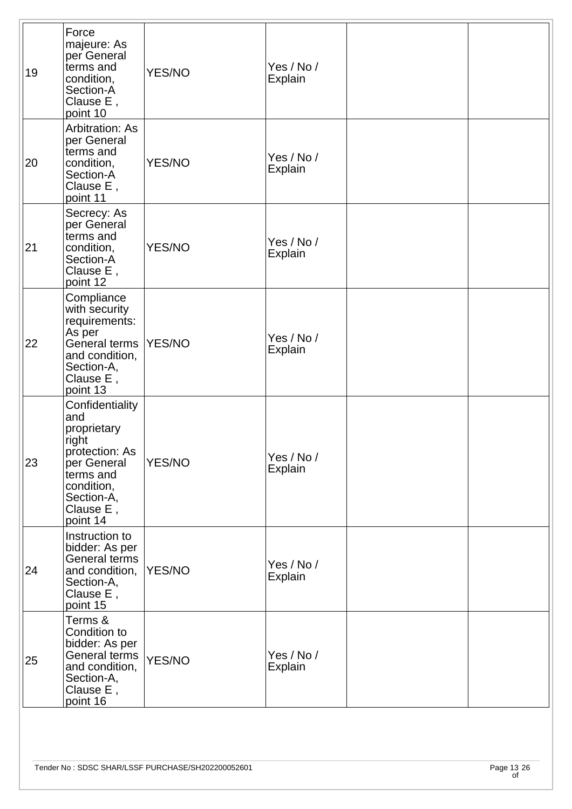| 19 | Force<br>majeure: As<br>per General<br>terms and<br>condition,<br>Section-A<br>Clause E,<br>point 10                                              | <b>YES/NO</b> | Yes / No /<br>Explain        |  |
|----|---------------------------------------------------------------------------------------------------------------------------------------------------|---------------|------------------------------|--|
| 20 | Arbitration: As<br>per General<br>terms and<br>condition,<br>Section-A<br>Clause E,<br>point 11                                                   | <b>YES/NO</b> | Yes / No /<br><b>Explain</b> |  |
| 21 | Secrecy: As<br>per General<br>terms and<br>condition,<br>Section-A<br>Clause E,<br>point 12                                                       | <b>YES/NO</b> | Yes / No /<br><b>Explain</b> |  |
| 22 | Compliance<br>with security<br>requirements:<br>As per<br>General terms<br>and condition,<br>Section-A,<br>Clause E,<br>point 13                  | YES/NO        | Yes / No /<br>Explain        |  |
| 23 | Confidentiality<br>and<br>proprietary<br>right<br>protection: As<br>per General<br>terms and<br>condition,<br>Section-A,<br>Clause E,<br>point 14 | <b>YES/NO</b> | Yes / No /<br>Explain        |  |
| 24 | Instruction to<br>bidder: As per<br>General terms<br>and condition,<br>Section-A,<br>Clause E,<br>point 15                                        | YES/NO        | Yes / No /<br>Explain        |  |
| 25 | Terms &<br>Condition to<br>bidder: As per<br>General terms<br>and condition,<br>Section-A,<br>Clause E,<br>point 16                               | <b>YES/NO</b> | Yes / No /<br>Explain        |  |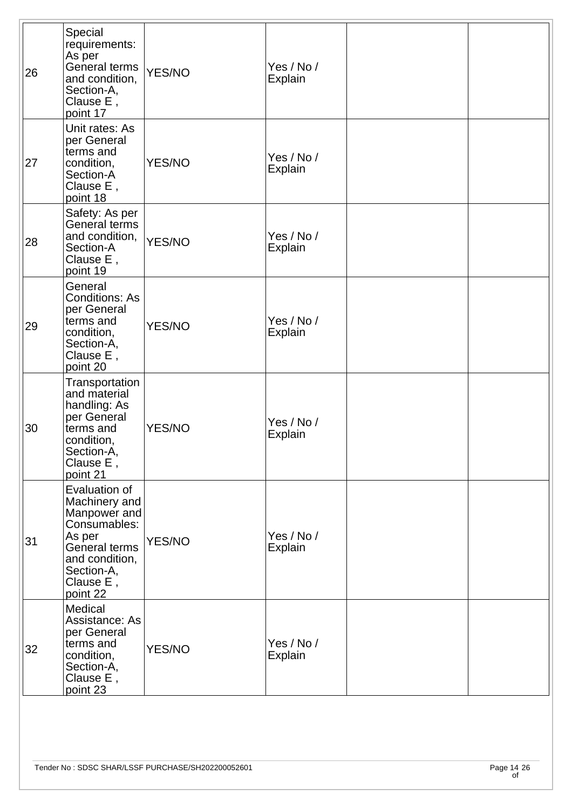| 26 | Special<br>requirements:<br>As per<br>General terms<br>and condition,<br>Section-A,<br>Clause E,<br>point 17                                       | YES/NO        | Yes / No /<br>Explain        |  |
|----|----------------------------------------------------------------------------------------------------------------------------------------------------|---------------|------------------------------|--|
| 27 | Unit rates: As<br>per General<br>terms and<br>condition,<br>Section-A<br>Clause E,<br>point 18                                                     | <b>YES/NO</b> | Yes / No /<br>Explain        |  |
| 28 | Safety: As per<br>General terms<br>and condition,<br>Section-A<br>Clause E,<br>point 19                                                            | YES/NO        | Yes / No /<br><b>Explain</b> |  |
| 29 | General<br><b>Conditions: As</b><br>per General<br>terms and<br>condition,<br>Section-A,<br>Clause E,<br>point 20                                  | <b>YES/NO</b> | Yes / No /<br>Explain        |  |
| 30 | Transportation<br>and material<br>handling: As<br>per General<br>terms and<br>condition,<br>Section-A,<br>Clause E,<br>point 21                    | <b>YES/NO</b> | Yes / No /<br>Explain        |  |
| 31 | Evaluation of<br>Machinery and<br>Manpower and<br>Consumables:<br>As per<br>General terms<br>and condition,<br>Section-A,<br>Clause E,<br>point 22 | <b>YES/NO</b> | Yes / No /<br>Explain        |  |
| 32 | Medical<br>Assistance: As<br>per General<br>terms and<br>condition,<br>Section-A,<br>Clause E,<br>point 23                                         | <b>YES/NO</b> | Yes / No /<br>Explain        |  |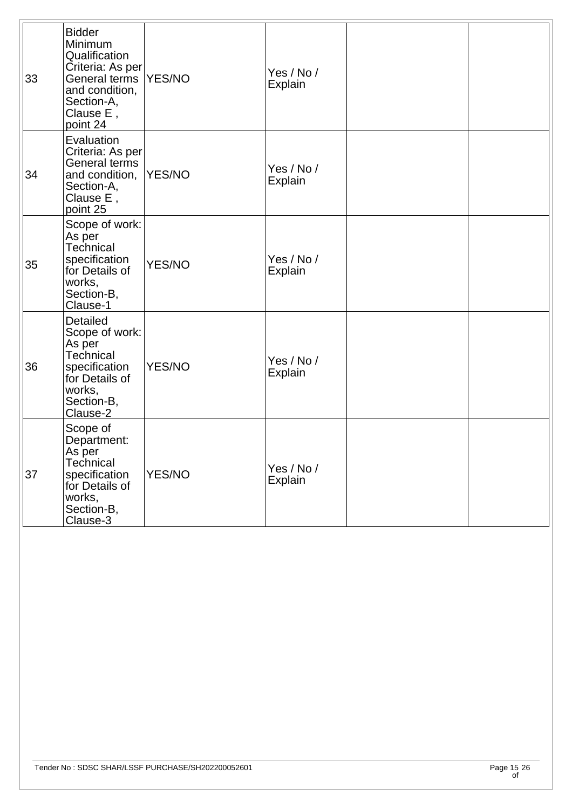| 33 | <b>Bidder</b><br>Minimum<br>Qualification<br>Criteria: As per<br>General terms<br>and condition,<br>Section-A,<br>Clause E,<br>point 24 | YES/NO        | Yes / No /<br>Explain |  |
|----|-----------------------------------------------------------------------------------------------------------------------------------------|---------------|-----------------------|--|
| 34 | Evaluation<br>Criteria: As per<br>General terms<br>and condition,<br>Section-A,<br>Clause E,<br>point 25                                | YES/NO        | Yes / No /<br>Explain |  |
| 35 | Scope of work:<br>As per<br>Technical<br>specification<br>for Details of<br>works,<br>Section-B,<br>Clause-1                            | YES/NO        | Yes / No /<br>Explain |  |
| 36 | <b>Detailed</b><br>Scope of work:<br>As per<br>Technical<br>specification<br>for Details of<br>works,<br>Section-B,<br>Clause-2         | YES/NO        | Yes / No /<br>Explain |  |
| 37 | Scope of<br>Department:<br>As per<br>Technical<br>specification<br>for Details of<br>works,<br>Section-B,<br>Clause-3                   | <b>YES/NO</b> | Yes / No /<br>Explain |  |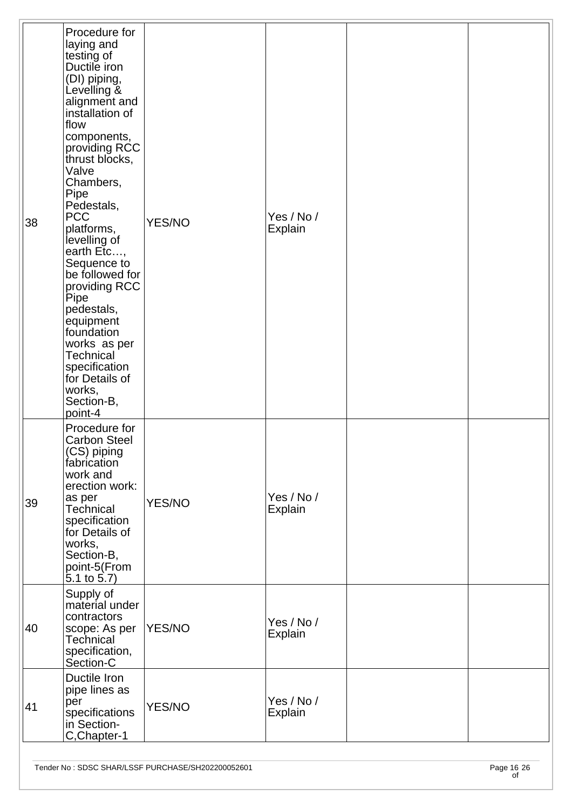| 38 | Procedure for<br>laying and<br>testing of<br>Ductile iron<br>(DI) piping,<br>Levelling &<br>alignment and<br>installation of<br>flow<br>components,<br>providing RCC<br>thrust blocks,<br>Valve<br>Chambers,<br>Pipe<br>Pedestals,<br><b>PCC</b><br>platforms,<br>levelling of<br>earth Etc,<br>Sequence to<br>be followed for<br>providing RCC<br>Pipe<br>pedestals,<br>equipment<br>foundation<br>works as per<br><b>Technical</b><br>specification<br>for Details of<br>works,<br>Section-B,<br>point-4 | <b>YES/NO</b> | Yes / No /<br>Explain |  |
|----|------------------------------------------------------------------------------------------------------------------------------------------------------------------------------------------------------------------------------------------------------------------------------------------------------------------------------------------------------------------------------------------------------------------------------------------------------------------------------------------------------------|---------------|-----------------------|--|
| 39 | Procedure for<br><b>Carbon Steel</b><br>(CS) piping<br>fabrication<br>work and<br>erection work:<br>as per<br><b>Technical</b><br>specification<br>for Details of<br>works,<br>Section-B,<br>point-5(From<br>$5.1$ to $5.7$ )                                                                                                                                                                                                                                                                              | <b>YES/NO</b> | Yes / No /<br>Explain |  |
| 40 | Supply of<br>material under<br>contractors<br>scope: As per<br><b>Technical</b><br>specification,<br>Section-C                                                                                                                                                                                                                                                                                                                                                                                             | YES/NO        | Yes / No /<br>Explain |  |
| 41 | Ductile Iron<br>pipe lines as<br>per<br>specifications<br>in Section-<br>C, Chapter-1                                                                                                                                                                                                                                                                                                                                                                                                                      | <b>YES/NO</b> | Yes / No /<br>Explain |  |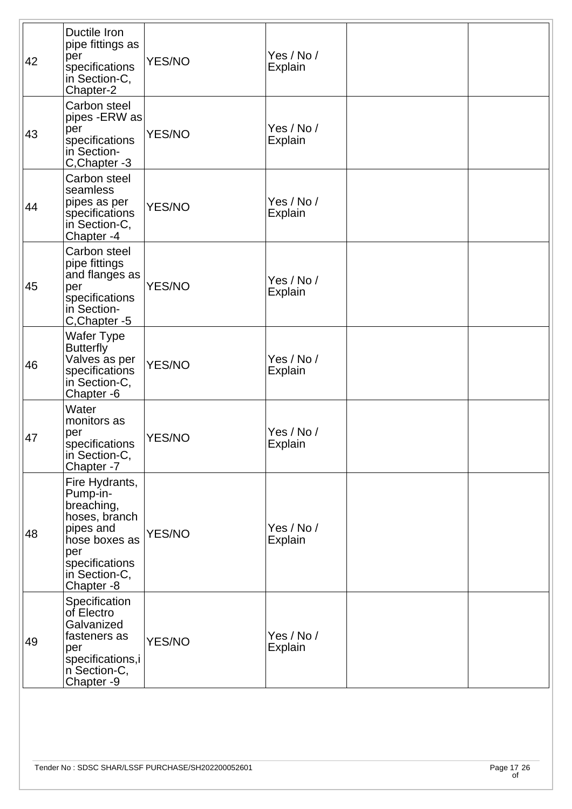| 42 | Ductile Iron<br>pipe fittings as<br>per<br>specifications<br>in Section-C,<br>Chapter-2                                                        | <b>YES/NO</b> | Yes / No /<br><b>Explain</b> |  |
|----|------------------------------------------------------------------------------------------------------------------------------------------------|---------------|------------------------------|--|
| 43 | Carbon steel<br>pipes -ERW as<br>per<br>specifications<br>in Section-<br>C, Chapter - 3                                                        | <b>YES/NO</b> | Yes / No /<br><b>Explain</b> |  |
| 44 | Carbon steel<br>seamless<br>pipes as per<br>specifications<br>in Section-C,<br>Chapter-4                                                       | <b>YES/NO</b> | Yes / No /<br>Explain        |  |
| 45 | Carbon steel<br>pipe fittings<br>and flanges as<br>per<br>specifications<br>in Section-<br>C, Chapter - 5                                      | <b>YES/NO</b> | Yes / No /<br>Explain        |  |
| 46 | Wafer Type<br><b>Butterfly</b><br>Valves as per<br>specifications<br>in Section-C,<br>Chapter -6                                               | <b>YES/NO</b> | Yes / No /<br>Explain        |  |
| 47 | Water<br>monitors as<br>per<br>specifications<br>in Section-C,<br>Chapter -7                                                                   | <b>YES/NO</b> | Yes / No /<br><b>Explain</b> |  |
| 48 | Fire Hydrants,<br>Pump-in-<br>breaching,<br>hoses, branch<br>pipes and<br>hose boxes as<br>per<br>specifications<br>in Section-C,<br>Chapter-8 | <b>YES/NO</b> | Yes / No /<br>Explain        |  |
| 49 | Specification<br>of Electro<br>Galvanized<br>fasteners as<br>per<br>specifications,i<br>n Section-C,<br>Chapter -9                             | <b>YES/NO</b> | Yes / No /<br><b>Explain</b> |  |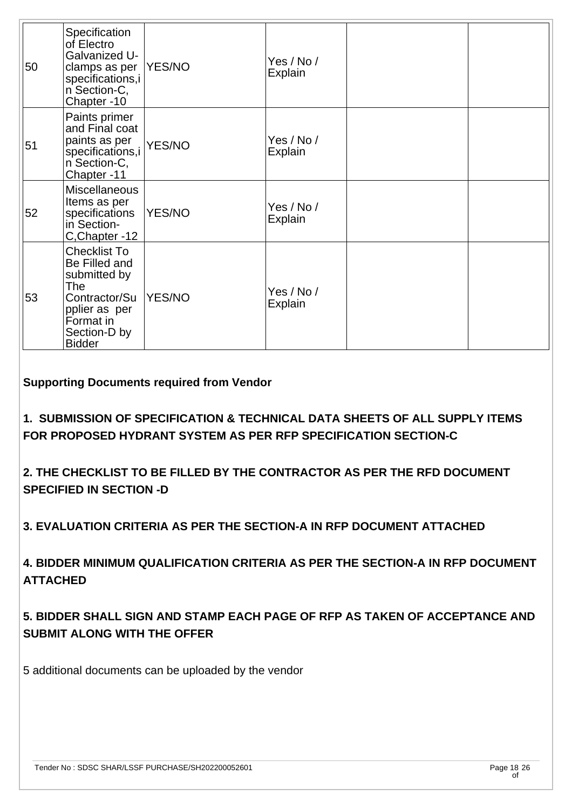| 50 | Specification<br>of Electro<br>Galvanized U-<br>clamps as per<br>specifications,i<br>n Section-C,<br>Chapter-10                             | YES/NO        | Yes / No /<br>Explain |  |
|----|---------------------------------------------------------------------------------------------------------------------------------------------|---------------|-----------------------|--|
| 51 | Paints primer<br>and Final coat<br>paints as per<br>specifications,i<br>n Section-C,<br>Chapter-11                                          | <b>YES/NO</b> | Yes / No /<br>Explain |  |
| 52 | <b>Miscellaneous</b><br>Items as per<br>specifications<br>in Section-<br>C,Chapter -12                                                      | YES/NO        | Yes / No /<br>Explain |  |
| 53 | <b>Checklist To</b><br>Be Filled and<br>submitted by<br>The<br>Contractor/Su<br>pplier as per<br>Format in<br>Section-D by<br><b>Bidder</b> | YES/NO        | Yes / No /<br>Explain |  |

**Supporting Documents required from Vendor**

**1. SUBMISSION OF SPECIFICATION & TECHNICAL DATA SHEETS OF ALL SUPPLY ITEMS FOR PROPOSED HYDRANT SYSTEM AS PER RFP SPECIFICATION SECTION-C**

**2. THE CHECKLIST TO BE FILLED BY THE CONTRACTOR AS PER THE RFD DOCUMENT SPECIFIED IN SECTION -D** 

**3. EVALUATION CRITERIA AS PER THE SECTION-A IN RFP DOCUMENT ATTACHED** 

**4. BIDDER MINIMUM QUALIFICATION CRITERIA AS PER THE SECTION-A IN RFP DOCUMENT ATTACHED**

**5. BIDDER SHALL SIGN AND STAMP EACH PAGE OF RFP AS TAKEN OF ACCEPTANCE AND SUBMIT ALONG WITH THE OFFER** 

5 additional documents can be uploaded by the vendor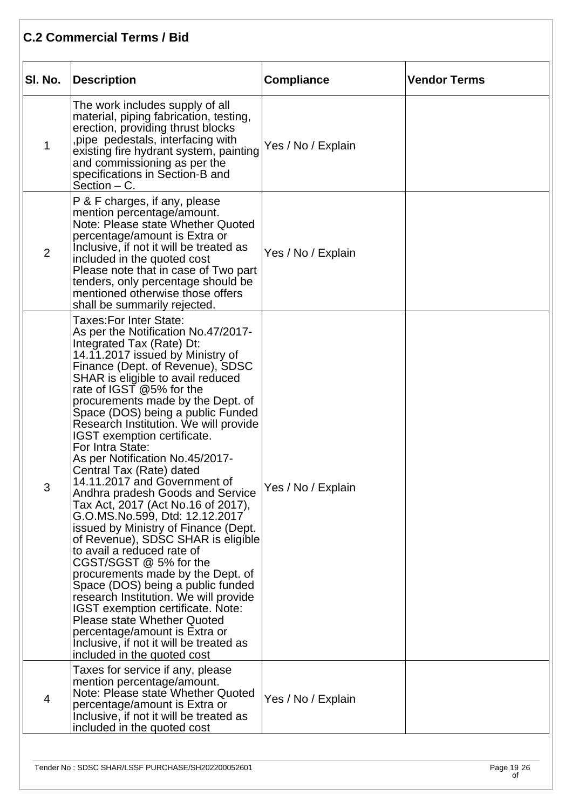#### **C.2 Commercial Terms / Bid**

| SI. No.        | <b>Description</b>                                                                                                                                                                                                                                                                                                                                                                                                                                                                                                                                                                                                                                                                                                                                                                                                                                                                                                                                                                                                                                                  | <b>Compliance</b>  | <b>Vendor Terms</b> |
|----------------|---------------------------------------------------------------------------------------------------------------------------------------------------------------------------------------------------------------------------------------------------------------------------------------------------------------------------------------------------------------------------------------------------------------------------------------------------------------------------------------------------------------------------------------------------------------------------------------------------------------------------------------------------------------------------------------------------------------------------------------------------------------------------------------------------------------------------------------------------------------------------------------------------------------------------------------------------------------------------------------------------------------------------------------------------------------------|--------------------|---------------------|
| $\mathbf{1}$   | The work includes supply of all<br>material, piping fabrication, testing,<br>erection, providing thrust blocks<br>pipe pedestals, interfacing with<br>existing fire hydrant system, painting<br>and commissioning as per the<br>specifications in Section-B and<br>$Section - C$ .                                                                                                                                                                                                                                                                                                                                                                                                                                                                                                                                                                                                                                                                                                                                                                                  | Yes / No / Explain |                     |
| $\overline{2}$ | P & F charges, if any, please<br>mention percentage/amount.<br>Note: Please state Whether Quoted<br>percentage/amount is Extra or<br>Inclusive, if not it will be treated as<br>included in the quoted cost<br>Please note that in case of Two part<br>tenders, only percentage should be<br>mentioned otherwise those offers<br>shall be summarily rejected.                                                                                                                                                                                                                                                                                                                                                                                                                                                                                                                                                                                                                                                                                                       | Yes / No / Explain |                     |
| 3              | Taxes:For Inter State:<br>As per the Notification No.47/2017-<br>Integrated Tax (Rate) Dt:<br>14.11.2017 issued by Ministry of<br>Finance (Dept. of Revenue), SDSC<br>SHAR is eligible to avail reduced<br>rate of IGST @5% for the<br>procurements made by the Dept. of<br>Space (DOS) being a public Funded<br>Research Institution. We will provide<br>IGST exemption certificate.<br>For Intra State:<br>As per Notification No.45/2017-<br>Central Tax (Rate) dated<br>14.11.2017 and Government of<br>Andhra pradesh Goods and Service<br>Tax Act, 2017 (Act No.16 of 2017),<br>G.O.MS.No.599, Dtd: 12.12.2017<br>issued by Ministry of Finance (Dept.<br>of Revenue), SDSC SHAR is eligible<br>to avail a reduced rate of<br>CGST/SGST @ 5% for the<br>procurements made by the Dept. of<br>Space (DOS) being a public funded<br>research Institution. We will provide<br>IGST exemption certificate. Note:<br><b>Please state Whether Quoted</b><br>percentage/amount is Extra or<br>Inclusive, if not it will be treated as<br>included in the quoted cost | Yes / No / Explain |                     |
| 4              | Taxes for service if any, please<br>mention percentage/amount.<br>Note: Please state Whether Quoted<br>percentage/amount is Extra or<br>Inclusive, if not it will be treated as<br>included in the quoted cost                                                                                                                                                                                                                                                                                                                                                                                                                                                                                                                                                                                                                                                                                                                                                                                                                                                      | Yes / No / Explain |                     |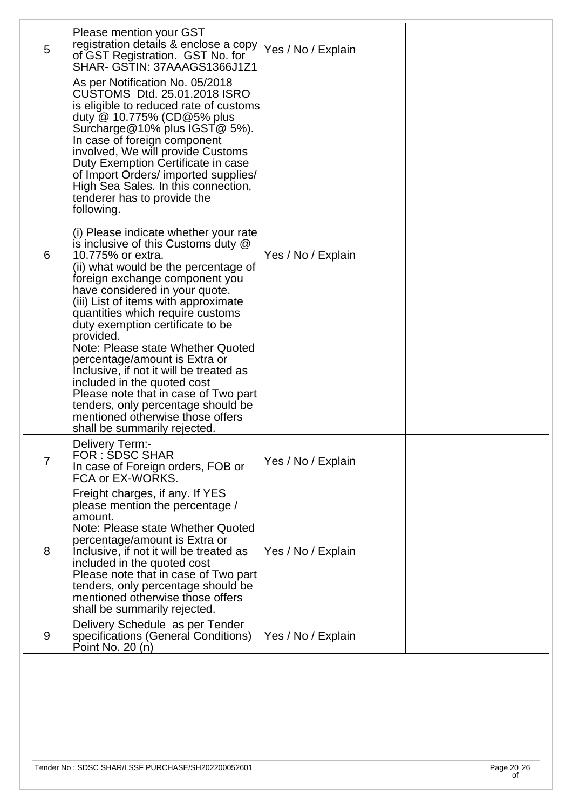| 5              | Please mention your GST<br>registration details & enclose a copy<br>of GST Registration. GST No. for<br>SHAR- GSTIN: 37AAAGS1366J1Z1                                                                                                                                                                                                                                                                                                                                                                                                                                                                                                         | Yes / No / Explain |  |
|----------------|----------------------------------------------------------------------------------------------------------------------------------------------------------------------------------------------------------------------------------------------------------------------------------------------------------------------------------------------------------------------------------------------------------------------------------------------------------------------------------------------------------------------------------------------------------------------------------------------------------------------------------------------|--------------------|--|
|                | As per Notification No. 05/2018<br>CUSTOMS Dtd. 25.01.2018 ISRO<br>is eligible to reduced rate of customs<br>duty @ 10.775% (CD@5% plus<br>Surcharge@10% plus IGST@ 5%).<br>In case of foreign component<br>involved, We will provide Customs<br>Duty Exemption Certificate in case<br>of Import Orders/ imported supplies/<br>High Sea Sales. In this connection,<br>tenderer has to provide the<br>following.                                                                                                                                                                                                                              |                    |  |
| 6              | (i) Please indicate whether your rate<br>is inclusive of this Customs duty @<br>10.775% or extra.<br>(ii) what would be the percentage of<br>foreign exchange component you<br>have considered in your quote.<br>(iii) List of items with approximate<br>quantities which require customs<br>duty exemption certificate to be<br>provided.<br>Note: Please state Whether Quoted<br>percentage/amount is Extra or<br>Inclusive, if not it will be treated as<br>included in the quoted cost<br>Please note that in case of Two part<br>tenders, only percentage should be<br>mentioned otherwise those offers<br>shall be summarily rejected. | Yes / No / Explain |  |
| $\overline{7}$ | <b>Delivery Term:-</b><br>FOR : SDSC SHAR<br>In case of Foreign orders, FOB or<br>FCA or EX-WORKS.                                                                                                                                                                                                                                                                                                                                                                                                                                                                                                                                           | Yes / No / Explain |  |
| 8              | Freight charges, if any. If YES<br>please mention the percentage /<br>amount.<br>Note: Please state Whether Quoted<br>percentage/amount is Extra or<br>Inclusive, if not it will be treated as<br>included in the quoted cost<br>Please note that in case of Two part<br>tenders, only percentage should be<br>mentioned otherwise those offers<br>shall be summarily rejected.                                                                                                                                                                                                                                                              | Yes / No / Explain |  |
| 9              | Delivery Schedule as per Tender<br>specifications (General Conditions)<br>Point No. 20 (n)                                                                                                                                                                                                                                                                                                                                                                                                                                                                                                                                                   | Yes / No / Explain |  |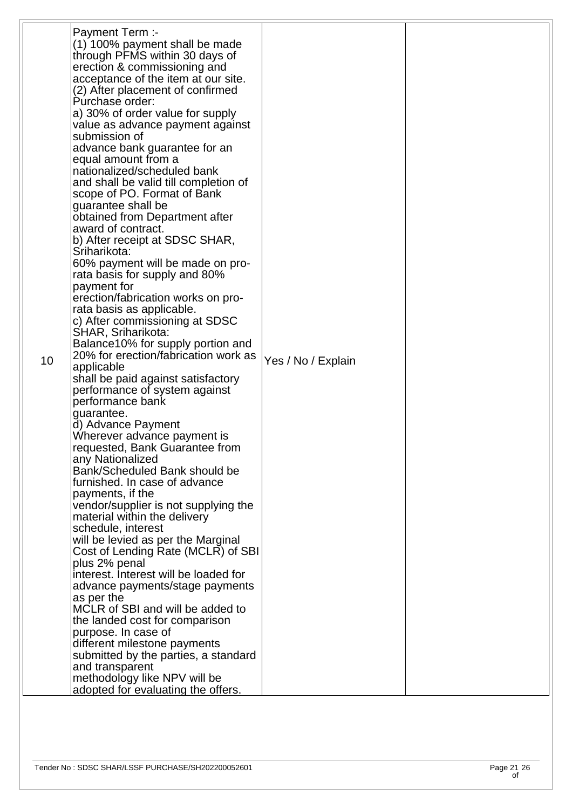|    | <b>Payment Term:-</b>                                              |                    |  |
|----|--------------------------------------------------------------------|--------------------|--|
|    | (1) 100% payment shall be made                                     |                    |  |
|    | through PFMS within 30 days of                                     |                    |  |
|    | erection & commissioning and                                       |                    |  |
|    | acceptance of the item at our site.                                |                    |  |
|    | (2) After placement of confirmed                                   |                    |  |
|    | Purchase order:                                                    |                    |  |
|    | a) 30% of order value for supply                                   |                    |  |
|    | value as advance payment against                                   |                    |  |
|    | submission of                                                      |                    |  |
|    | advance bank guarantee for an<br>equal amount from a               |                    |  |
|    | nationalized/scheduled bank                                        |                    |  |
|    | and shall be valid till completion of                              |                    |  |
|    | scope of PO. Format of Bank                                        |                    |  |
|    | guarantee shall be                                                 |                    |  |
|    | obtained from Department after                                     |                    |  |
|    | award of contract.                                                 |                    |  |
|    | b) After receipt at SDSC SHAR,                                     |                    |  |
|    | Sriharikota:                                                       |                    |  |
|    | 60% payment will be made on pro-                                   |                    |  |
|    | rata basis for supply and 80%                                      |                    |  |
|    | payment for                                                        |                    |  |
|    | erection/fabrication works on pro-                                 |                    |  |
|    | rata basis as applicable.                                          |                    |  |
|    | c) After commissioning at SDSC<br>SHAR, Sriharikota:               |                    |  |
|    | Balance 10% for supply portion and                                 |                    |  |
|    | 20% for erection/fabrication work as                               |                    |  |
| 10 | applicable                                                         | Yes / No / Explain |  |
|    | shall be paid against satisfactory                                 |                    |  |
|    | performance of system against                                      |                    |  |
|    | performance bank                                                   |                    |  |
|    | guarantee.                                                         |                    |  |
|    | d) Advance Payment                                                 |                    |  |
|    | Wherever advance payment is                                        |                    |  |
|    | requested, Bank Guarantee from                                     |                    |  |
|    | any Nationalized<br>Bank/Scheduled Bank should be                  |                    |  |
|    | furnished. In case of advance                                      |                    |  |
|    | payments, if the                                                   |                    |  |
|    | vendor/supplier is not supplying the                               |                    |  |
|    | material within the delivery                                       |                    |  |
|    | schedule, interest                                                 |                    |  |
|    | will be levied as per the Marginal                                 |                    |  |
|    | Cost of Lending Rate (MCLR) of SBI                                 |                    |  |
|    | plus 2% penal                                                      |                    |  |
|    | interest. Interest will be loaded for                              |                    |  |
|    | advance payments/stage payments                                    |                    |  |
|    | as per the                                                         |                    |  |
|    | MCLR of SBI and will be added to<br>the landed cost for comparison |                    |  |
|    | purpose. In case of                                                |                    |  |
|    | different milestone payments                                       |                    |  |
|    | submitted by the parties, a standard                               |                    |  |
|    | and transparent                                                    |                    |  |
|    | methodology like NPV will be                                       |                    |  |
|    | adopted for evaluating the offers.                                 |                    |  |
|    |                                                                    |                    |  |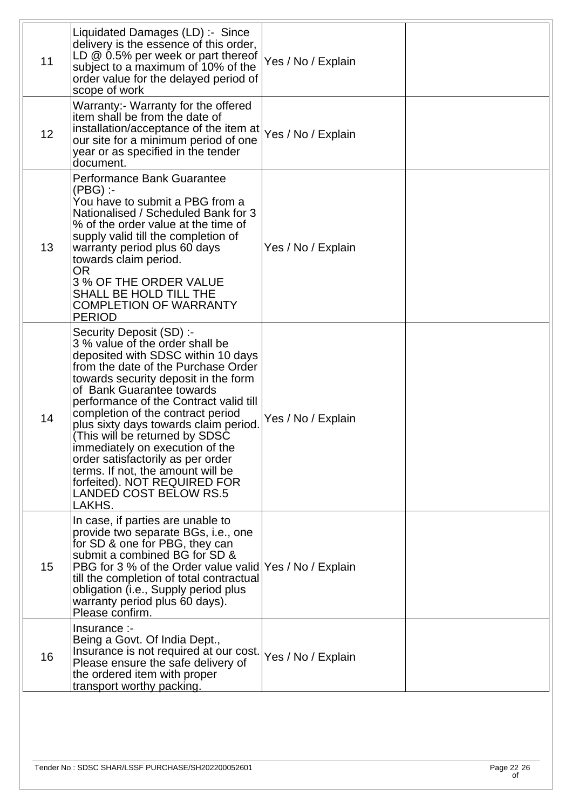| 11 | Liquidated Damages (LD) :- Since<br>delivery is the essence of this order,<br>LD $@0.5\%$ per week or part thereof<br>subject to a maximum of 10% of the<br>order value for the delayed period of<br>scope of work                                                                                                                                                                                                                                                                                                                                              | Yes / No / Explain |  |
|----|-----------------------------------------------------------------------------------------------------------------------------------------------------------------------------------------------------------------------------------------------------------------------------------------------------------------------------------------------------------------------------------------------------------------------------------------------------------------------------------------------------------------------------------------------------------------|--------------------|--|
| 12 | Warranty: Warranty for the offered<br>item shall be from the date of<br>installation/acceptance of the item at<br>our site for a minimum period of one<br>year or as specified in the tender<br>document.                                                                                                                                                                                                                                                                                                                                                       | Yes / No / Explain |  |
| 13 | Performance Bank Guarantee<br>$(PBG)$ :-<br>You have to submit a PBG from a<br>Nationalised / Scheduled Bank for 3<br>% of the order value at the time of<br>supply valid till the completion of<br>warranty period plus 60 days<br>towards claim period.<br><b>OR</b><br>3 % OF THE ORDER VALUE<br>SHALL BE HOLD TILL THE<br><b>COMPLETION OF WARRANTY</b><br><b>PERIOD</b>                                                                                                                                                                                    | Yes / No / Explain |  |
| 14 | Security Deposit (SD) :-<br>3 % value of the order shall be<br>deposited with SDSC within 10 days<br>from the date of the Purchase Order<br>towards security deposit in the form<br>of Bank Guarantee towards<br>performance of the Contract valid till<br>completion of the contract period<br>plus sixty days towards claim period.<br>(This will be returned by SDSC<br>immediately on execution of the<br>order satisfactorily as per order<br>terms. If not, the amount will be<br>forfeited). NOT REQUIRED FOR<br><b>LANDED COST BELOW RS.5</b><br>LAKHS. | Yes / No / Explain |  |
| 15 | In case, if parties are unable to<br>provide two separate BGs, i.e., one<br>for SD & one for PBG, they can<br>submit a combined BG for SD &<br>PBG for 3 % of the Order value valid Yes / No / Explain<br>till the completion of total contractual<br>obligation (i.e., Supply period plus<br>warranty period plus 60 days).<br>Please confirm.                                                                                                                                                                                                                 |                    |  |
| 16 | Insurance :-<br>Being a Govt. Of India Dept.,<br>Insurance is not required at our cost.<br>Please ensure the safe delivery of<br>the ordered item with proper<br>transport worthy packing.                                                                                                                                                                                                                                                                                                                                                                      | Yes / No / Explain |  |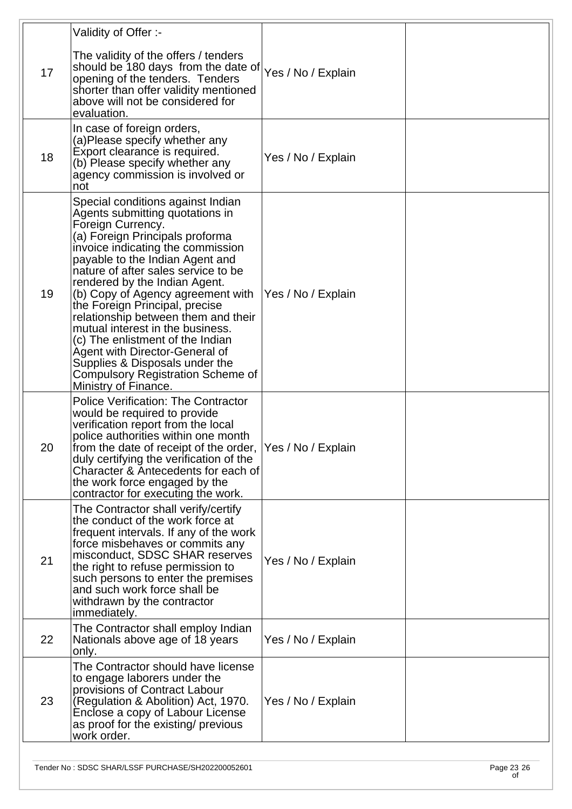|    | Validity of Offer :-                                                                                                                                                                                                                                                                                                                                                                                                                                                                                                                                                                                |                    |  |
|----|-----------------------------------------------------------------------------------------------------------------------------------------------------------------------------------------------------------------------------------------------------------------------------------------------------------------------------------------------------------------------------------------------------------------------------------------------------------------------------------------------------------------------------------------------------------------------------------------------------|--------------------|--|
| 17 | The validity of the offers / tenders<br>should be 180 days from the date of $ {\gamma}_{\text{es}}/N_0 $ Explain<br>opening of the tenders. Tenders<br>shorter than offer validity mentioned<br>above will not be considered for<br>evaluation.                                                                                                                                                                                                                                                                                                                                                     |                    |  |
| 18 | In case of foreign orders,<br>(a)Please specify whether any<br>Export clearance is required.<br>(b) Please specify whether any<br>agency commission is involved or<br>not                                                                                                                                                                                                                                                                                                                                                                                                                           | Yes / No / Explain |  |
| 19 | Special conditions against Indian<br>Agents submitting quotations in<br>Foreign Currency.<br>(a) Foreign Principals proforma<br>invoice indicating the commission<br>payable to the Indian Agent and<br>nature of after sales service to be<br>rendered by the Indian Agent.<br>(b) Copy of Agency agreement with<br>the Foreign Principal, precise<br>relationship between them and their<br>mutual interest in the business.<br>(c) The enlistment of the Indian<br>Agent with Director-General of<br>Supplies & Disposals under the<br>Compulsory Registration Scheme of<br>Ministry of Finance. | Yes / No / Explain |  |
| 20 | <b>Police Verification: The Contractor</b><br>would be required to provide<br>verification report from the local<br>police authorities within one month<br>from the date of receipt of the order,  Yes / No / Explain<br>duly certifying the verification of the<br>Character & Antecedents for each of<br>the work force engaged by the<br>contractor for executing the work.                                                                                                                                                                                                                      |                    |  |
| 21 | The Contractor shall verify/certify<br>the conduct of the work force at<br>frequent intervals. If any of the work<br>force misbehaves or commits any<br>misconduct, SDSC SHAR reserves<br>the right to refuse permission to<br>such persons to enter the premises<br>and such work force shall be<br>withdrawn by the contractor<br>immediately.                                                                                                                                                                                                                                                    | Yes / No / Explain |  |
| 22 | The Contractor shall employ Indian<br>Nationals above age of 18 years<br>only.                                                                                                                                                                                                                                                                                                                                                                                                                                                                                                                      | Yes / No / Explain |  |
| 23 | The Contractor should have license<br>to engage laborers under the<br>provisions of Contract Labour<br>(Regulation & Abolition) Act, 1970.<br>Enclose a copy of Labour License<br>as proof for the existing/ previous<br>work order.                                                                                                                                                                                                                                                                                                                                                                | Yes / No / Explain |  |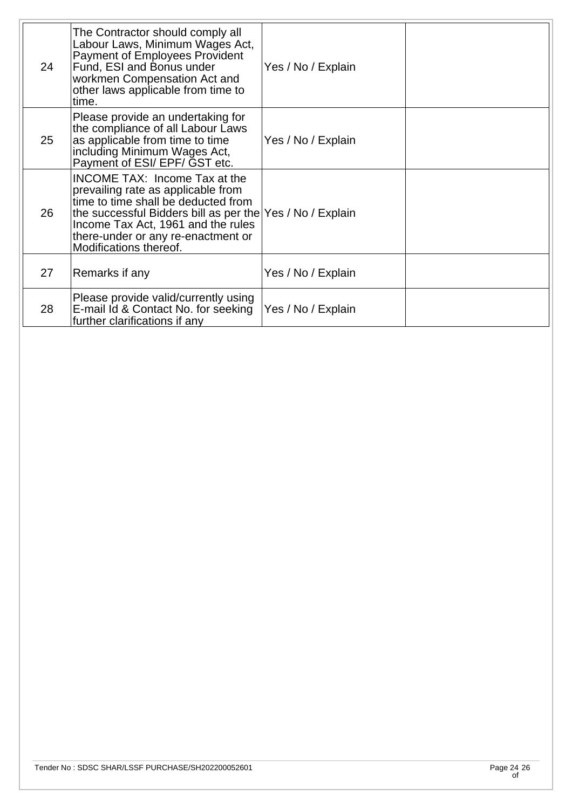| 24 | The Contractor should comply all<br>Labour Laws, Minimum Wages Act,<br>Payment of Employees Provident<br>Fund, ESI and Bonus under<br>workmen Compensation Act and<br>other laws applicable from time to<br>time.                                                                    | Yes / No / Explain |  |
|----|--------------------------------------------------------------------------------------------------------------------------------------------------------------------------------------------------------------------------------------------------------------------------------------|--------------------|--|
| 25 | Please provide an undertaking for<br>the compliance of all Labour Laws<br>as applicable from time to time<br>including Minimum Wages Act,<br>Payment of ESI/ EPF/ GST etc.                                                                                                           | Yes / No / Explain |  |
| 26 | <b>INCOME TAX: Income Tax at the</b><br>prevailing rate as applicable from<br>time to time shall be deducted from<br>the successful Bidders bill as per the Yes / No / Explain<br>Income Tax Act, 1961 and the rules<br>there-under or any re-enactment or<br>Modifications thereof. |                    |  |
| 27 | Remarks if any                                                                                                                                                                                                                                                                       | Yes / No / Explain |  |
| 28 | Please provide valid/currently using<br>E-mail Id & Contact No. for seeking<br>further clarifications if any                                                                                                                                                                         | Yes / No / Explain |  |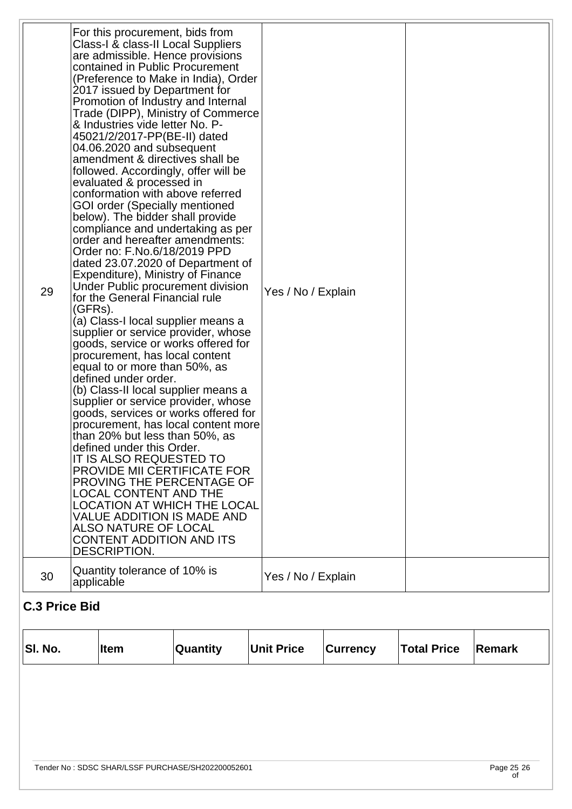| For this procurement, bids from<br>Class-I & class-II Local Suppliers<br>are admissible. Hence provisions<br>contained in Public Procurement<br>(Preference to Make in India), Order<br>2017 issued by Department for<br>Promotion of Industry and Internal<br>Trade (DIPP), Ministry of Commerce<br>& Industries vide letter No. P-<br>45021/2/2017-PP(BE-II) dated<br>04.06.2020 and subsequent<br>amendment & directives shall be<br>followed. Accordingly, offer will be<br>evaluated & processed in<br>conformation with above referred<br><b>GOI order (Specially mentioned</b><br>below). The bidder shall provide<br>compliance and undertaking as per<br>order and hereafter amendments:<br>Order no: F.No.6/18/2019 PPD<br>dated 23.07.2020 of Department of<br>Expenditure), Ministry of Finance<br>Under Public procurement division<br>29<br>Yes / No / Explain<br>for the General Financial rule<br>(GFRs).<br>(a) Class-I local supplier means a<br>supplier or service provider, whose<br>goods, service or works offered for<br>procurement, has local content<br>equal to or more than 50%, as<br>defined under order.<br>(b) Class-II local supplier means a<br>supplier or service provider, whose<br>goods, services or works offered for<br>procurement, has local content more<br>than 20% but less than 50%, as<br>defined under this Order.<br>IT IS ALSO REQUESTED TO<br>PROVIDE MII CERTIFICATE FOR<br>PROVING THE PERCENTAGE OF<br><b>LOCAL CONTENT AND THE</b><br>LOCATION AT WHICH THE LOCAL<br><b>VALUE ADDITION IS MADE AND</b><br><b>ALSO NATURE OF LOCAL</b><br><b>CONTENT ADDITION AND ITS</b> |              |  |
|-----------------------------------------------------------------------------------------------------------------------------------------------------------------------------------------------------------------------------------------------------------------------------------------------------------------------------------------------------------------------------------------------------------------------------------------------------------------------------------------------------------------------------------------------------------------------------------------------------------------------------------------------------------------------------------------------------------------------------------------------------------------------------------------------------------------------------------------------------------------------------------------------------------------------------------------------------------------------------------------------------------------------------------------------------------------------------------------------------------------------------------------------------------------------------------------------------------------------------------------------------------------------------------------------------------------------------------------------------------------------------------------------------------------------------------------------------------------------------------------------------------------------------------------------------------------------------------------------------------------------------------|--------------|--|
|                                                                                                                                                                                                                                                                                                                                                                                                                                                                                                                                                                                                                                                                                                                                                                                                                                                                                                                                                                                                                                                                                                                                                                                                                                                                                                                                                                                                                                                                                                                                                                                                                                   | DESCRIPTION. |  |
| Quantity tolerance of 10% is<br>30<br>Yes / No / Explain<br>applicable                                                                                                                                                                                                                                                                                                                                                                                                                                                                                                                                                                                                                                                                                                                                                                                                                                                                                                                                                                                                                                                                                                                                                                                                                                                                                                                                                                                                                                                                                                                                                            |              |  |

| SI. No. | ∣Item | Quantity                                          | <b>Unit Price</b> | <b>Currency</b> | <b>Total Price</b> | Remark     |
|---------|-------|---------------------------------------------------|-------------------|-----------------|--------------------|------------|
|         |       |                                                   |                   |                 |                    |            |
|         |       |                                                   |                   |                 |                    |            |
|         |       |                                                   |                   |                 |                    |            |
|         |       | Tender No: SDSC SHAR/LSSF PURCHASE/SH202200052601 |                   |                 |                    | Page 25 26 |